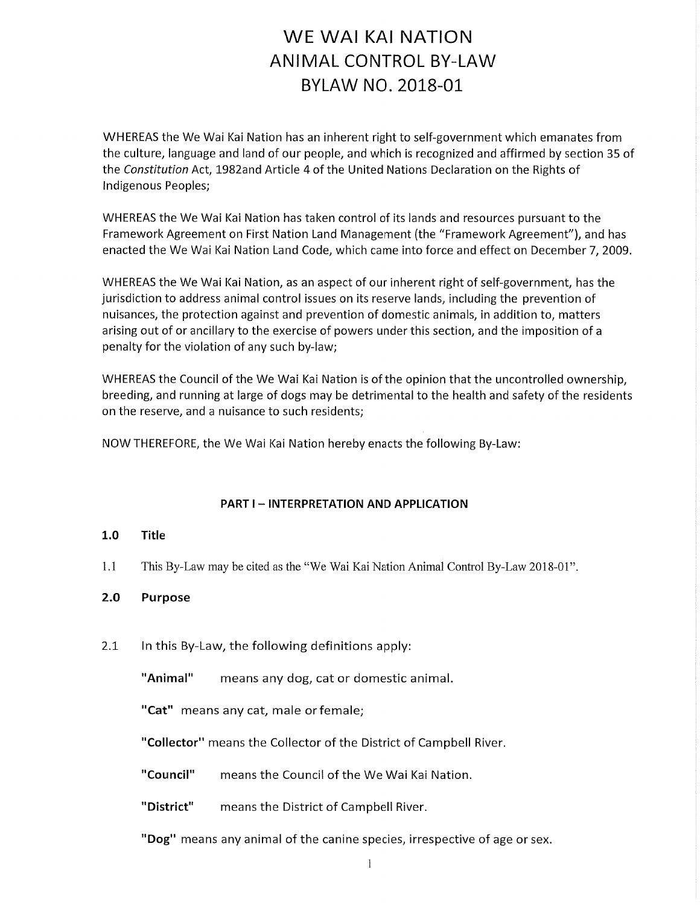# WE WAI KAI NATION **ANIMAL CONTROL BY-LAW** BYLAW NO. 2018-01

WHEREAS the We Wai Kai Nation has an inherent right to self-government which emanates from the culture, language and land of our people, and which is recognized and affirmed by section 35 of the Constitution Act, 1982and Article 4 of the United Nations Declaration on the Rights of Indigenous Peoples;

WHEREAS the We Wai Kai Nation has taken control of its lands and resources pursuant to the Framework Agreement on First Nation Land Management (the "Framework Agreement"), and has enacted the We Wai Kai Nation Land Code, which came into force and effect on December 7, 2009.

WHEREAS the We Wai Kai Nation, as an aspect of our inherent right of self-government, has the jurisdiction to address animal control issues on its reserve lands, including the prevention of nuisances, the protection against and prevention of domestic animals, in addition to, matters arising out of or ancillary to the exercise of powers under this section, and the imposition of a penalty for the violation of any such by-law;

WHEREAS the Council of the We Wai Kai Nation is of the opinion that the uncontrolled ownership, breeding, and running at large of dogs may be detrimental to the health and safety of the residents on the reserve, and a nuisance to such residents;

NOW THEREFORE, the We Wai Kai Nation hereby enacts the following By-Law:

### **PART I-INTERPRETATION AND APPLICATION**

#### $1.0$ **Title**

 $1.1$ This By-Law may be cited as the "We Wai Kai Nation Animal Control By-Law 2018-01".

#### $2.0$ **Purpose**

 $2.1$ In this By-Law, the following definitions apply:

> "Animal" means any dog, cat or domestic animal.

"Cat" means any cat, male or female;

"Collector" means the Collector of the District of Campbell River.

"Council" means the Council of the We Wai Kai Nation.

"District" means the District of Campbell River.

"Dog" means any animal of the canine species, irrespective of age or sex.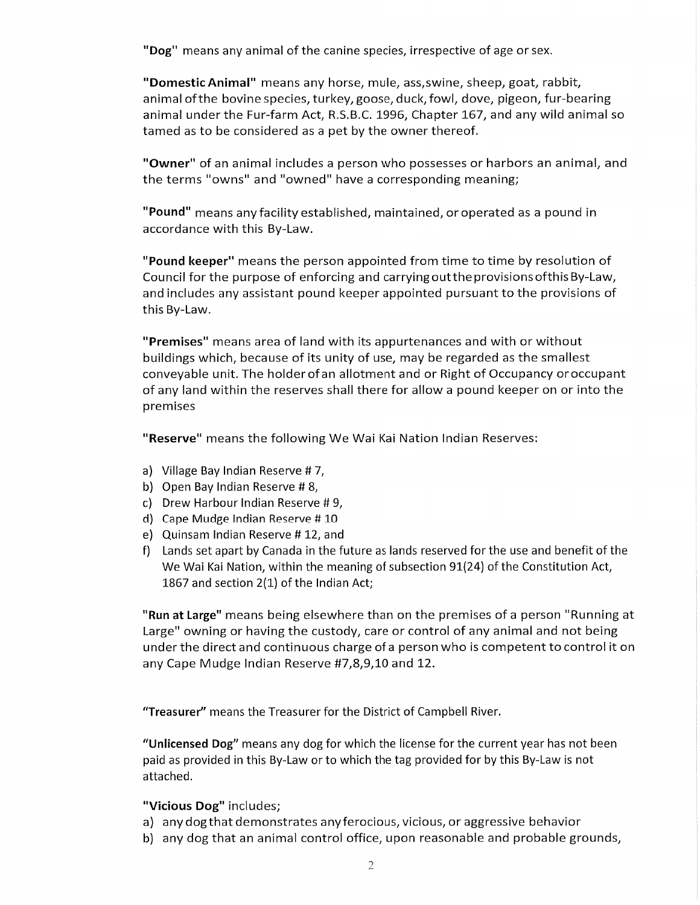"Dog" means any animal of the canine species, irrespective of age or sex.

"Domestic Animal" means any horse, mule, ass, swine, sheep, goat, rabbit, animal of the bovine species, turkey, goose, duck, fowl, dove, pigeon, fur-bearing animal under the Fur-farm Act, R.S.B.C. 1996, Chapter 167, and any wild animal so tamed as to be considered as a pet by the owner thereof.

"Owner" of an animal includes a person who possesses or harbors an animal, and the terms "owns" and "owned" have a corresponding meaning;

"Pound" means any facility established, maintained, or operated as a pound in accordance with this By-Law.

"Pound keeper" means the person appointed from time to time by resolution of Council for the purpose of enforcing and carrying out the provisions of this By-Law, and includes any assistant pound keeper appointed pursuant to the provisions of this By-Law.

"Premises" means area of land with its appurtenances and with or without buildings which, because of its unity of use, may be regarded as the smallest conveyable unit. The holder of an allotment and or Right of Occupancy or occupant of any land within the reserves shall there for allow a pound keeper on or into the premises

"Reserve" means the following We Wai Kai Nation Indian Reserves:

- a) Village Bay Indian Reserve #7,
- b) Open Bay Indian Reserve #8,
- c) Drew Harbour Indian Reserve #9,
- d) Cape Mudge Indian Reserve #10
- e) Quinsam Indian Reserve #12, and
- f) Lands set apart by Canada in the future as lands reserved for the use and benefit of the We Wai Kai Nation, within the meaning of subsection 91(24) of the Constitution Act, 1867 and section 2(1) of the Indian Act;

"Run at Large" means being elsewhere than on the premises of a person "Running at Large" owning or having the custody, care or control of any animal and not being under the direct and continuous charge of a person who is competent to control it on any Cape Mudge Indian Reserve #7,8,9,10 and 12.

"Treasurer" means the Treasurer for the District of Campbell River.

"Unlicensed Dog" means any dog for which the license for the current year has not been paid as provided in this By-Law or to which the tag provided for by this By-Law is not attached.

### "Vicious Dog" includes;

- a) any dog that demonstrates any ferocious, vicious, or aggressive behavior
- b) any dog that an animal control office, upon reasonable and probable grounds,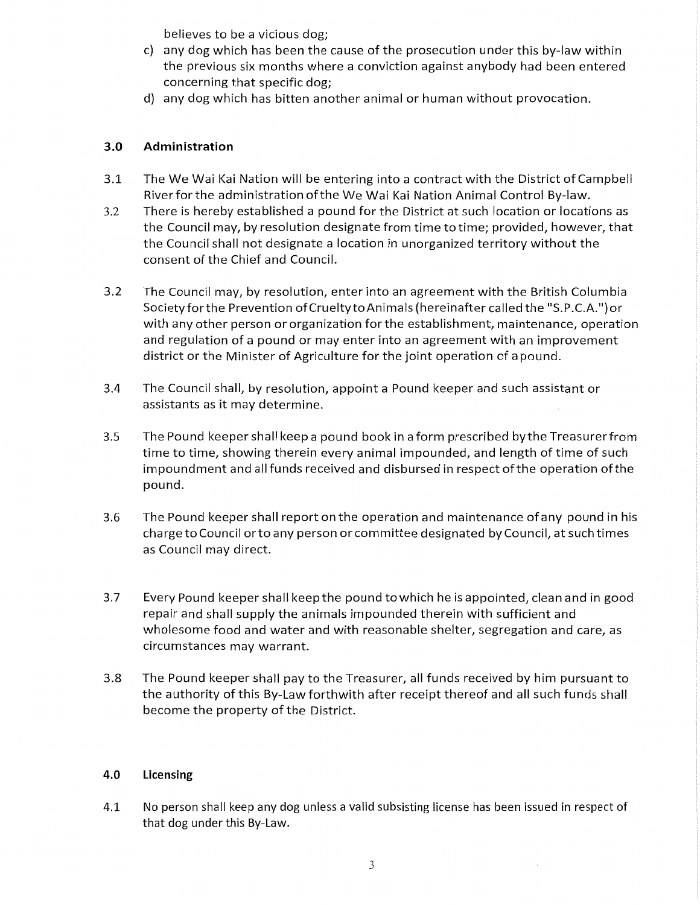believes to be a vicious dog;

- c) any dog which has been the cause of the prosecution under this by-law within the previous six months where a conviction against anybody had been entered concerning that specific dog;
- d) any dog which has bitten another animal or human without provocation.

#### $3.0$ Administration

- $3.1$ The We Wai Kai Nation will be entering into a contract with the District of Campbell River for the administration of the We Wai Kai Nation Animal Control By-law.
- $3.2$ There is hereby established a pound for the District at such location or locations as the Council may, by resolution designate from time to time; provided, however, that the Council shall not designate a location in unorganized territory without the consent of the Chief and Council.
- $3.2$ The Council may, by resolution, enter into an agreement with the British Columbia Society for the Prevention of Cruelty to Animals (hereinafter called the "S.P.C.A.") or with any other person or organization for the establishment, maintenance, operation and regulation of a pound or may enter into an agreement with an improvement district or the Minister of Agriculture for the joint operation of apound.
- $3.4$ The Council shall, by resolution, appoint a Pound keeper and such assistant or assistants as it may determine.
- $3.5$ The Pound keeper shall keep a pound book in a form prescribed by the Treasurer from time to time, showing therein every animal impounded, and length of time of such impoundment and all funds received and disbursed in respect of the operation of the pound.
- 3.6 The Pound keeper shall report on the operation and maintenance of any pound in his charge to Council or to any person or committee designated by Council, at such times as Council may direct.
- 3.7 Every Pound keeper shall keep the pound to which he is appointed, clean and in good repair and shall supply the animals impounded therein with sufficient and wholesome food and water and with reasonable shelter, segregation and care, as circumstances may warrant.
- 3.8 The Pound keeper shall pay to the Treasurer, all funds received by him pursuant to the authority of this By-Law forthwith after receipt thereof and all such funds shall become the property of the District.

#### 4.0 Licensing

4.1 No person shall keep any dog unless a valid subsisting license has been issued in respect of that dog under this By-Law.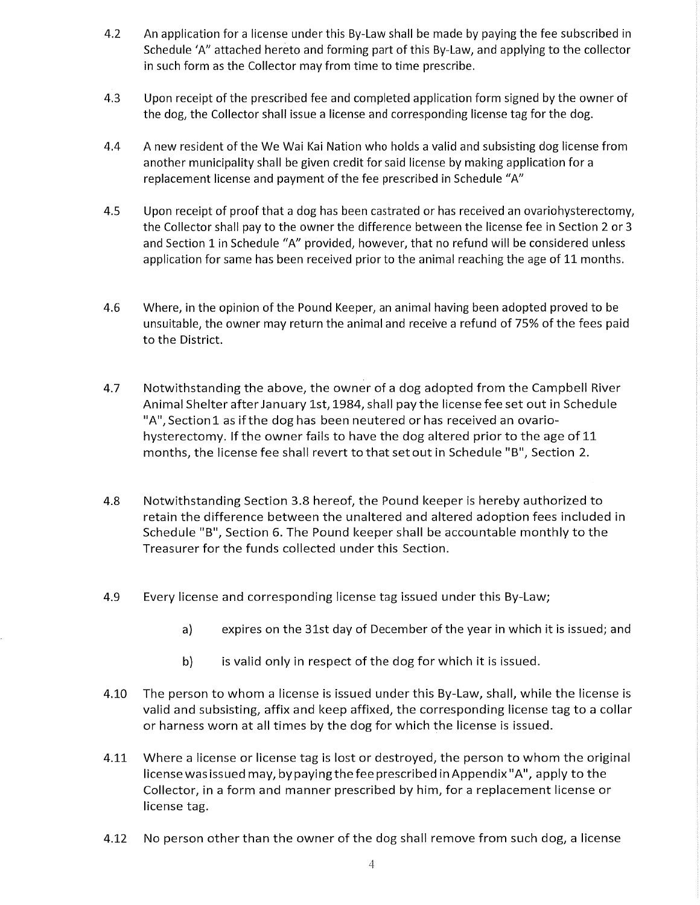- An application for a license under this By-Law shall be made by paying the fee subscribed in  $4.2$ Schedule 'A" attached hereto and forming part of this By-Law, and applying to the collector in such form as the Collector may from time to time prescribe.
- $4.3$ Upon receipt of the prescribed fee and completed application form signed by the owner of the dog, the Collector shall issue a license and corresponding license tag for the dog.
- 4.4 A new resident of the We Wai Kai Nation who holds a valid and subsisting dog license from another municipality shall be given credit for said license by making application for a replacement license and payment of the fee prescribed in Schedule "A"
- $4.5$ Upon receipt of proof that a dog has been castrated or has received an ovariohysterectomy, the Collector shall pay to the owner the difference between the license fee in Section 2 or 3 and Section 1 in Schedule "A" provided, however, that no refund will be considered unless application for same has been received prior to the animal reaching the age of 11 months.
- 4.6 Where, in the opinion of the Pound Keeper, an animal having been adopted proved to be unsuitable, the owner may return the animal and receive a refund of 75% of the fees paid to the District.
- 4.7 Notwithstanding the above, the owner of a dog adopted from the Campbell River Animal Shelter after January 1st, 1984, shall pay the license fee set out in Schedule "A", Section1 as if the dog has been neutered or has received an ovariohysterectomy. If the owner fails to have the dog altered prior to the age of 11 months, the license fee shall revert to that set out in Schedule "B", Section 2.
- 4.8 Notwithstanding Section 3.8 hereof, the Pound keeper is hereby authorized to retain the difference between the unaltered and altered adoption fees included in Schedule "B", Section 6. The Pound keeper shall be accountable monthly to the Treasurer for the funds collected under this Section.
- 4.9 Every license and corresponding license tag issued under this By-Law;
	- $a)$ expires on the 31st day of December of the year in which it is issued; and
	- is valid only in respect of the dog for which it is issued. b)
- 4.10 The person to whom a license is issued under this By-Law, shall, while the license is valid and subsisting, affix and keep affixed, the corresponding license tag to a collar or harness worn at all times by the dog for which the license is issued.
- 4.11 Where a license or license tag is lost or destroyed, the person to whom the original license was issued may, by paying the fee prescribed in Appendix "A", apply to the Collector, in a form and manner prescribed by him, for a replacement license or license tag.
- No person other than the owner of the dog shall remove from such dog, a license 4.12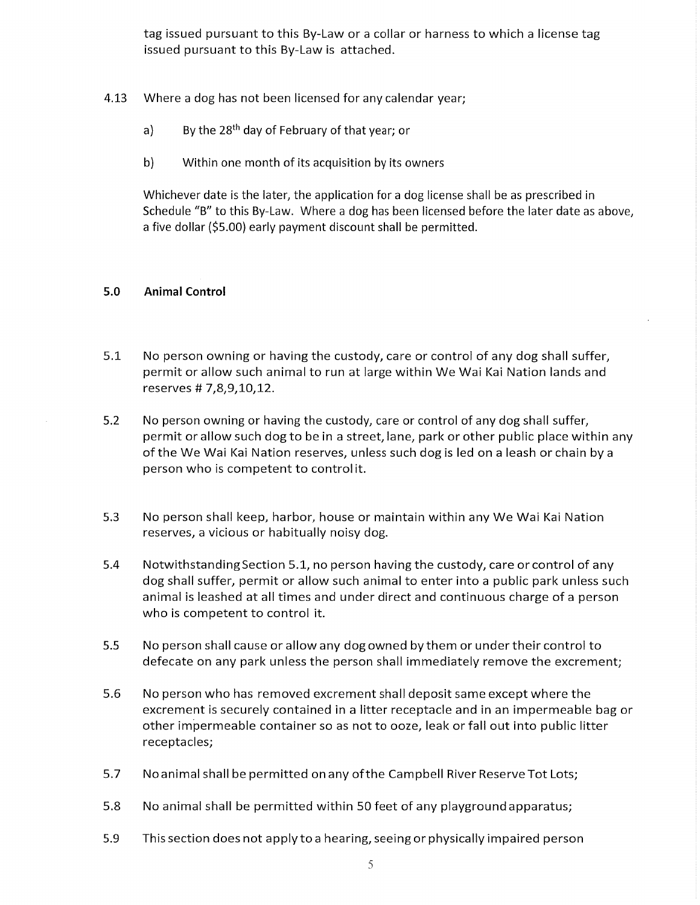tag issued pursuant to this By-Law or a collar or harness to which a license tag issued pursuant to this By-Law is attached.

- 4.13 Where a dog has not been licensed for any calendar year;
	- By the 28<sup>th</sup> day of February of that year; or  $a)$
	- $b)$ Within one month of its acquisition by its owners

Whichever date is the later, the application for a dog license shall be as prescribed in Schedule "B" to this By-Law. Where a dog has been licensed before the later date as above, a five dollar (\$5.00) early payment discount shall be permitted.

#### $5.0$ **Animal Control**

- $5.1$ No person owning or having the custody, care or control of any dog shall suffer, permit or allow such animal to run at large within We Wai Kai Nation lands and reserves # 7,8,9,10,12.
- $5.2$ No person owning or having the custody, care or control of any dog shall suffer, permit or allow such dog to be in a street, lane, park or other public place within any of the We Wai Kai Nation reserves, unless such dog is led on a leash or chain by a person who is competent to controlit.
- $5.3$ No person shall keep, harbor, house or maintain within any We Wai Kai Nation reserves, a vicious or habitually noisy dog.
- 5.4 Notwithstanding Section 5.1, no person having the custody, care or control of any dog shall suffer, permit or allow such animal to enter into a public park unless such animal is leashed at all times and under direct and continuous charge of a person who is competent to control it.
- $5.5$ No person shall cause or allow any dog owned by them or under their control to defecate on any park unless the person shall immediately remove the excrement;
- 5.6 No person who has removed excrement shall deposit same except where the excrement is securely contained in a litter receptacle and in an impermeable bag or other impermeable container so as not to ooze, leak or fall out into public litter receptacles;
- 5.7 No animal shall be permitted on any of the Campbell River Reserve Tot Lots;
- 5.8 No animal shall be permitted within 50 feet of any playground apparatus;
- 5.9 This section does not apply to a hearing, seeing or physically impaired person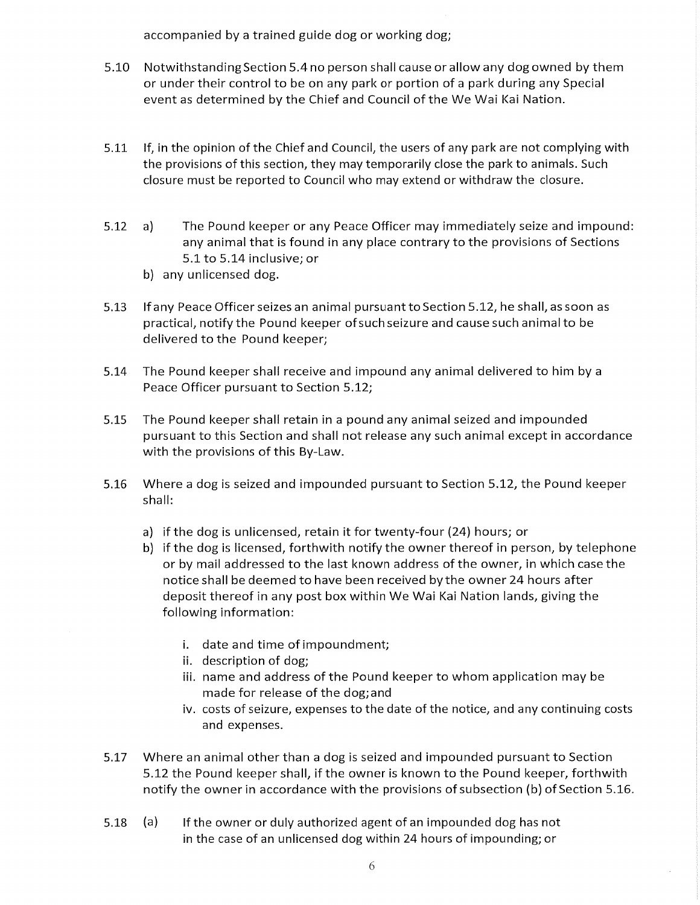accompanied by a trained guide dog or working dog;

- 5.10 Notwithstanding Section 5.4 no person shall cause or allow any dog owned by them or under their control to be on any park or portion of a park during any Special event as determined by the Chief and Council of the We Wai Kai Nation.
- If, in the opinion of the Chief and Council, the users of any park are not complying with  $5.11$ the provisions of this section, they may temporarily close the park to animals. Such closure must be reported to Council who may extend or withdraw the closure.
- $5.12$  $a)$ The Pound keeper or any Peace Officer may immediately seize and impound: any animal that is found in any place contrary to the provisions of Sections 5.1 to 5.14 inclusive; or
	- b) any unlicensed dog.
- 5.13 If any Peace Officer seizes an animal pursuant to Section 5.12, he shall, as soon as practical, notify the Pound keeper of such seizure and cause such animal to be delivered to the Pound keeper;
- 5.14 The Pound keeper shall receive and impound any animal delivered to him by a Peace Officer pursuant to Section 5.12;
- The Pound keeper shall retain in a pound any animal seized and impounded  $5.15$ pursuant to this Section and shall not release any such animal except in accordance with the provisions of this By-Law.
- $5.16$ Where a dog is seized and impounded pursuant to Section 5.12, the Pound keeper shall:
	- a) if the dog is unlicensed, retain it for twenty-four (24) hours; or
	- b) if the dog is licensed, forthwith notify the owner thereof in person, by telephone or by mail addressed to the last known address of the owner, in which case the notice shall be deemed to have been received by the owner 24 hours after deposit thereof in any post box within We Wai Kai Nation lands, giving the following information:
		- i. date and time of impoundment;
		- ii. description of dog;
		- iii. name and address of the Pound keeper to whom application may be made for release of the dog; and
		- iv. costs of seizure, expenses to the date of the notice, and any continuing costs and expenses.
- Where an animal other than a dog is seized and impounded pursuant to Section 5.17 5.12 the Pound keeper shall, if the owner is known to the Pound keeper, forthwith notify the owner in accordance with the provisions of subsection (b) of Section 5.16.
- If the owner or duly authorized agent of an impounded dog has not 5.18 (a) in the case of an unlicensed dog within 24 hours of impounding; or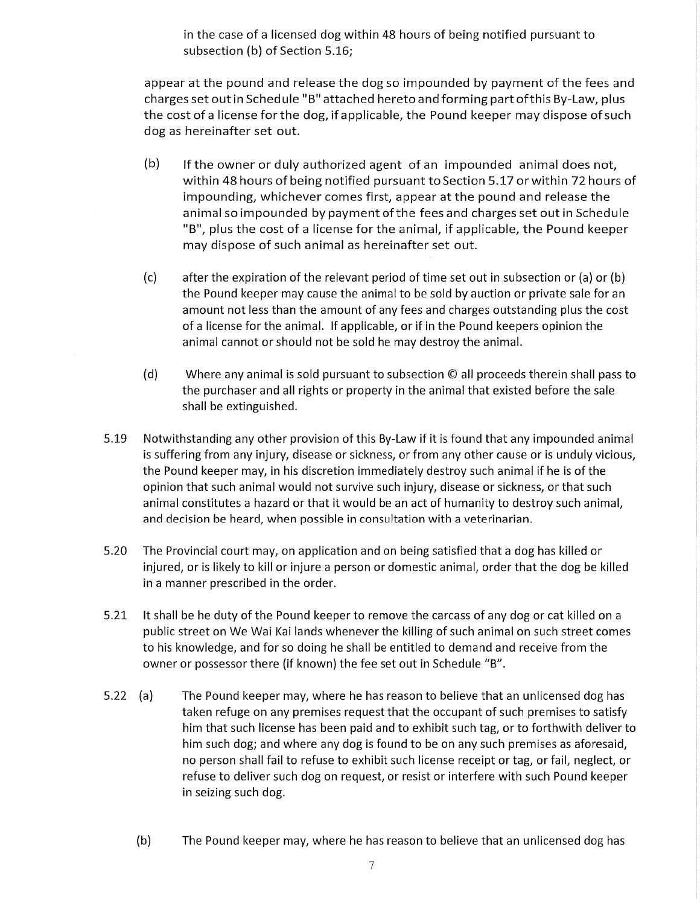in the case of a licensed dog within 48 hours of being notified pursuant to subsection (b) of Section 5.16;

appear at the pound and release the dog so impounded by payment of the fees and charges set out in Schedule "B" attached hereto and forming part of this By-Law, plus the cost of a license for the dog, if applicable, the Pound keeper may dispose of such dog as hereinafter set out.

- $(b)$ If the owner or duly authorized agent of an impounded animal does not, within 48 hours of being notified pursuant to Section 5.17 or within 72 hours of impounding, whichever comes first, appear at the pound and release the animal so impounded by payment of the fees and charges set out in Schedule "B", plus the cost of a license for the animal, if applicable, the Pound keeper may dispose of such animal as hereinafter set out.
- $(c)$ after the expiration of the relevant period of time set out in subsection or (a) or (b) the Pound keeper may cause the animal to be sold by auction or private sale for an amount not less than the amount of any fees and charges outstanding plus the cost of a license for the animal. If applicable, or if in the Pound keepers opinion the animal cannot or should not be sold he may destroy the animal.
- $(d)$ Where any animal is sold pursuant to subsection © all proceeds therein shall pass to the purchaser and all rights or property in the animal that existed before the sale shall be extinguished.
- 5.19 Notwithstanding any other provision of this By-Law if it is found that any impounded animal is suffering from any injury, disease or sickness, or from any other cause or is unduly vicious, the Pound keeper may, in his discretion immediately destroy such animal if he is of the opinion that such animal would not survive such injury, disease or sickness, or that such animal constitutes a hazard or that it would be an act of humanity to destroy such animal, and decision be heard, when possible in consultation with a veterinarian.
- 5.20 The Provincial court may, on application and on being satisfied that a dog has killed or injured, or is likely to kill or injure a person or domestic animal, order that the dog be killed in a manner prescribed in the order.
- 5.21 It shall be he duty of the Pound keeper to remove the carcass of any dog or cat killed on a public street on We Wai Kai lands whenever the killing of such animal on such street comes to his knowledge, and for so doing he shall be entitled to demand and receive from the owner or possessor there (if known) the fee set out in Schedule "B".
- 5.22 (a) The Pound keeper may, where he has reason to believe that an unlicensed dog has taken refuge on any premises request that the occupant of such premises to satisfy him that such license has been paid and to exhibit such tag, or to forthwith deliver to him such dog; and where any dog is found to be on any such premises as aforesaid, no person shall fail to refuse to exhibit such license receipt or tag, or fail, neglect, or refuse to deliver such dog on request, or resist or interfere with such Pound keeper in seizing such dog.
	- $(b)$ The Pound keeper may, where he has reason to believe that an unlicensed dog has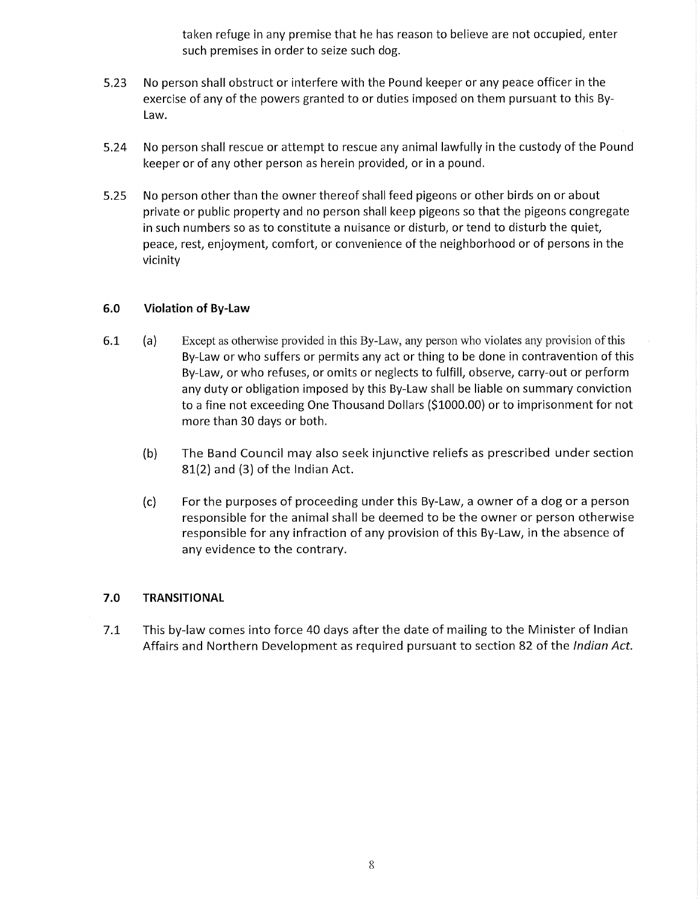taken refuge in any premise that he has reason to believe are not occupied, enter such premises in order to seize such dog.

- 5.23 No person shall obstruct or interfere with the Pound keeper or any peace officer in the exercise of any of the powers granted to or duties imposed on them pursuant to this By-Law.
- No person shall rescue or attempt to rescue any animal lawfully in the custody of the Pound 5.24 keeper or of any other person as herein provided, or in a pound.
- $5.25$ No person other than the owner thereof shall feed pigeons or other birds on or about private or public property and no person shall keep pigeons so that the pigeons congregate in such numbers so as to constitute a nuisance or disturb, or tend to disturb the quiet, peace, rest, enjoyment, comfort, or convenience of the neighborhood or of persons in the vicinity

#### $6.0$ **Violation of By-Law**

- 6.1  $(a)$ Except as otherwise provided in this By-Law, any person who violates any provision of this By-Law or who suffers or permits any act or thing to be done in contravention of this By-Law, or who refuses, or omits or neglects to fulfill, observe, carry-out or perform any duty or obligation imposed by this By-Law shall be liable on summary conviction to a fine not exceeding One Thousand Dollars (\$1000.00) or to imprisonment for not more than 30 days or both.
	- The Band Council may also seek injunctive reliefs as prescribed under section  $(b)$ 81(2) and (3) of the Indian Act.
	- $(c)$ For the purposes of proceeding under this By-Law, a owner of a dog or a person responsible for the animal shall be deemed to be the owner or person otherwise responsible for any infraction of any provision of this By-Law, in the absence of any evidence to the contrary.

#### $7.0$ **TRANSITIONAL**

 $7.1$ This by-law comes into force 40 days after the date of mailing to the Minister of Indian Affairs and Northern Development as required pursuant to section 82 of the Indian Act.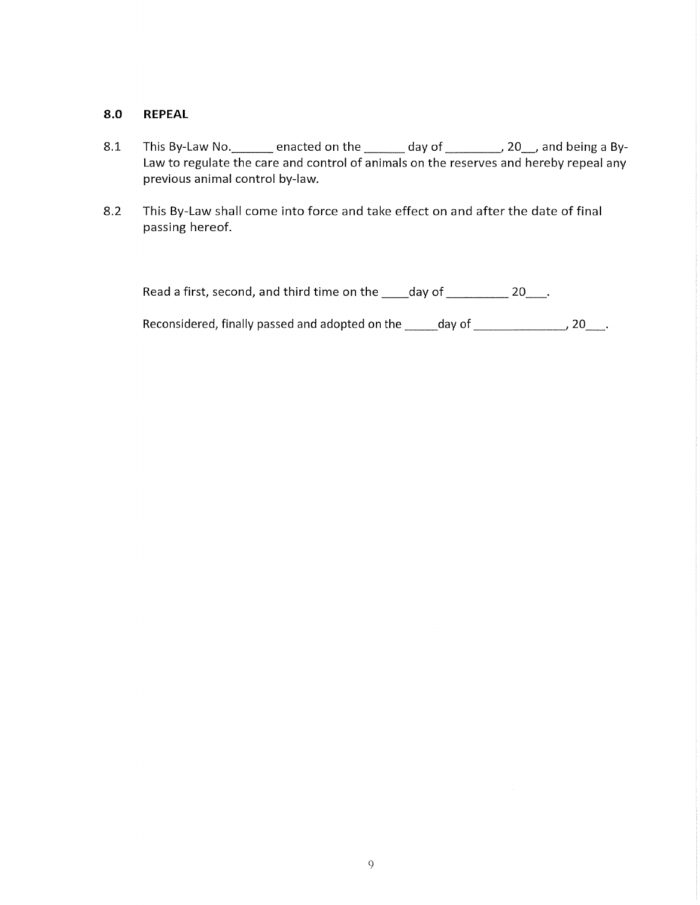#### $8.0$ **REPEAL**

- This By-Law No. \_\_\_\_\_\_\_ enacted on the \_\_\_\_\_\_\_ day of \_\_\_\_\_\_\_\_, 20\_, and being a By- $8.1$ Law to regulate the care and control of animals on the reserves and hereby repeal any previous animal control by-law.
- This By-Law shall come into force and take effect on and after the date of final 8.2 passing hereof.

|  | Read a first, second, and third time on the | day of |  |
|--|---------------------------------------------|--------|--|
|  |                                             |        |  |

Reconsidered, finally passed and adopted on the \_\_\_\_\_day of \_\_\_\_\_\_\_\_\_\_\_\_\_\_\_\_\_, 20\_\_\_\_.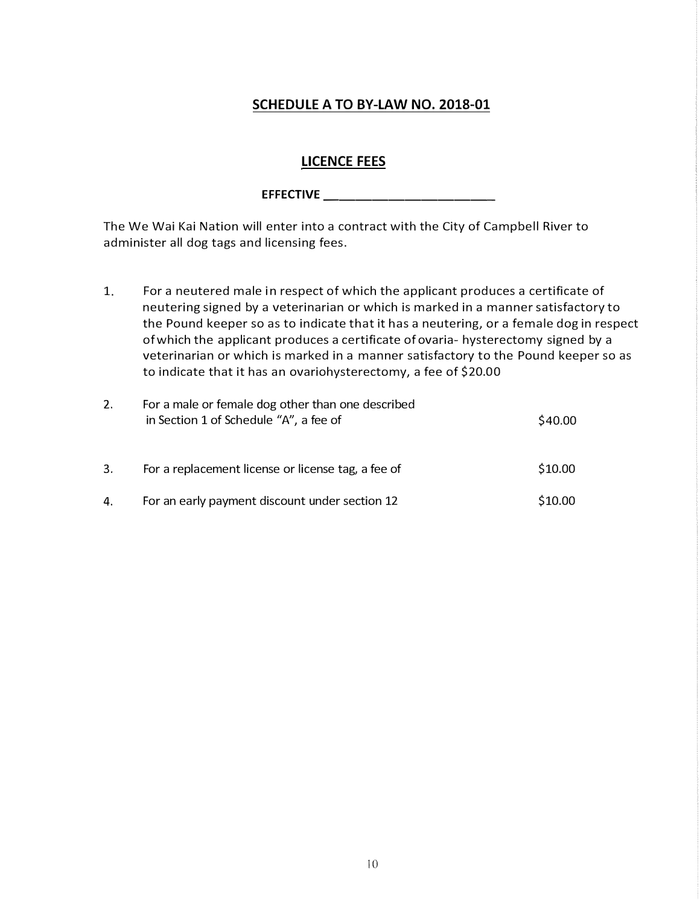## **SCHEDULE A TO BY-LAW NO. 2018-01**

## **LICENCE FEES**

## **EFFECTIVE**

The We Wai Kai Nation will enter into a contract with the City of Campbell River to administer all dog tags and licensing fees.

1. For a neutered male in respect of which the applicant produces a certificate of neutering signed by a veterinarian or which is marked in a manner satisfactory to the Pound keeper so as to indicate that it has a neutering, or a female dog in respect of which the applicant produces a certificate of ovaria- hysterectomy signed by a veterinarian or which is marked in a manner satisfactory to the Pound keeper so as to indicate that it has an ovariohysterectomy, a fee of \$20.00

| 2. | For a male or female dog other than one described<br>in Section 1 of Schedule "A", a fee of | \$40.00 |
|----|---------------------------------------------------------------------------------------------|---------|
| 3. | For a replacement license or license tag, a fee of                                          | \$10.00 |
| 4. | For an early payment discount under section 12                                              | \$10.00 |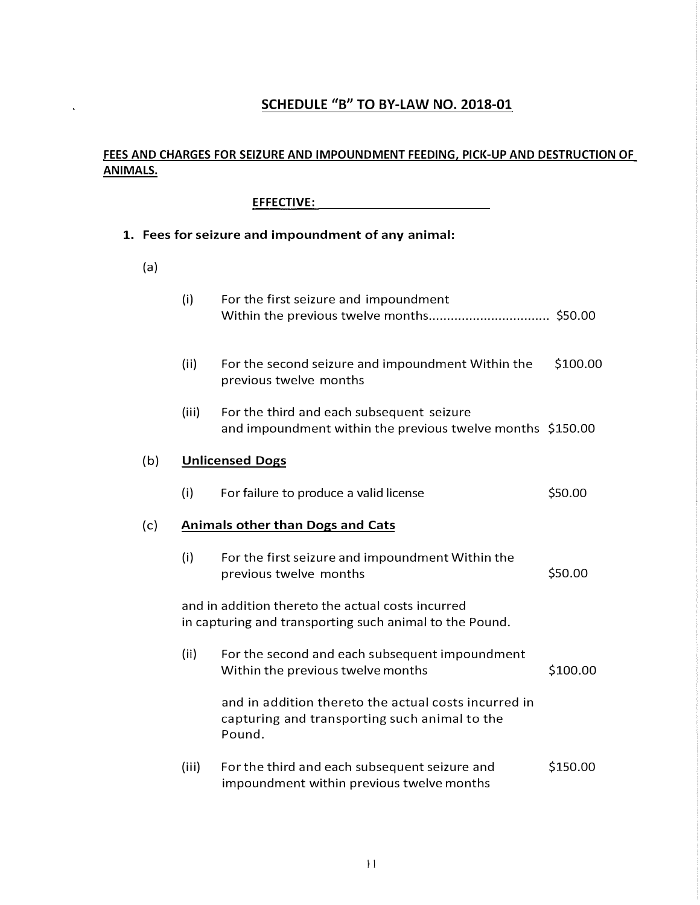## **SCHEDULE "B" TO BY-LAW NO. 2018-01**

## **FEES AND CHARGES FOR SEIZURE AND IMPOUNDMENT FEEDING, PICK-UP AND DESTRUCTION OF ANIMALS.**

### **EFFECTIVE:**

 $\hat{\mathcal{A}}$ 

| 1. Fees for seizure and impoundment of any animal: |                                                                                                              |                                                                                                                 |          |
|----------------------------------------------------|--------------------------------------------------------------------------------------------------------------|-----------------------------------------------------------------------------------------------------------------|----------|
| (a)                                                |                                                                                                              |                                                                                                                 |          |
|                                                    | (i)                                                                                                          | For the first seizure and impoundment                                                                           |          |
|                                                    | (ii)                                                                                                         | For the second seizure and impoundment Within the<br>previous twelve months                                     | \$100.00 |
|                                                    | (iii)                                                                                                        | For the third and each subsequent seizure<br>and impoundment within the previous twelve months \$150.00         |          |
| (b)                                                | <b>Unlicensed Dogs</b>                                                                                       |                                                                                                                 |          |
|                                                    | (i)                                                                                                          | For failure to produce a valid license                                                                          | \$50.00  |
| (c)                                                |                                                                                                              | <b>Animals other than Dogs and Cats</b>                                                                         |          |
|                                                    | (i)                                                                                                          | For the first seizure and impoundment Within the<br>previous twelve months                                      | \$50.00  |
|                                                    | and in addition thereto the actual costs incurred<br>in capturing and transporting such animal to the Pound. |                                                                                                                 |          |
|                                                    | (ii)                                                                                                         | For the second and each subsequent impoundment<br>Within the previous twelve months                             | \$100.00 |
|                                                    |                                                                                                              | and in addition thereto the actual costs incurred in<br>capturing and transporting such animal to the<br>Pound. |          |
|                                                    | (iii)                                                                                                        | For the third and each subsequent seizure and<br>impoundment within previous twelve months                      | \$150.00 |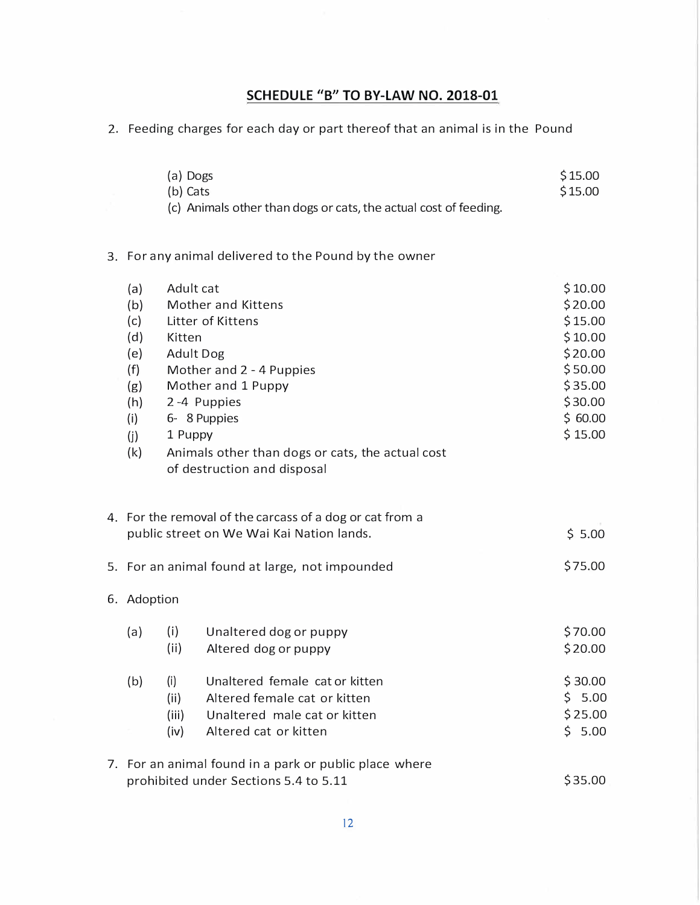## **SCHEDULE "B<sup>11</sup>TO BY-LAW NO. 2018-01**

2. Feeding charges for each day or part thereof that an animal is in the Pound

|                                                                           | (a) Dogs<br>(b) Cats           | (c) Animals other than dogs or cats, the actual cost of feeding.                                                                                                                                                               | \$15.00<br>\$15.00                                                                                         |  |
|---------------------------------------------------------------------------|--------------------------------|--------------------------------------------------------------------------------------------------------------------------------------------------------------------------------------------------------------------------------|------------------------------------------------------------------------------------------------------------|--|
|                                                                           |                                | 3. For any animal delivered to the Pound by the owner                                                                                                                                                                          |                                                                                                            |  |
| (a)<br>(b)<br>(c)<br>(d)<br>(e)<br>(f)<br>(g)<br>(h)<br>(i)<br>(i)<br>(k) | Adult cat<br>Kitten<br>1 Puppy | Mother and Kittens<br>Litter of Kittens<br><b>Adult Dog</b><br>Mother and 2 - 4 Puppies<br>Mother and 1 Puppy<br>2-4 Puppies<br>6-8 Puppies<br>Animals other than dogs or cats, the actual cost<br>of destruction and disposal | \$10.00<br>\$20.00<br>\$15.00<br>\$10.00<br>\$20.00<br>\$50.00<br>\$35.00<br>\$30.00<br>\$60.00<br>\$15.00 |  |
|                                                                           |                                | 4. For the removal of the carcass of a dog or cat from a<br>public street on We Wai Kai Nation lands.                                                                                                                          | \$5.00                                                                                                     |  |
|                                                                           |                                | 5. For an animal found at large, not impounded                                                                                                                                                                                 | \$75.00                                                                                                    |  |
|                                                                           | 6. Adoption                    |                                                                                                                                                                                                                                |                                                                                                            |  |
| (a)                                                                       | (i)<br>(ii)                    | Unaltered dog or puppy<br>Altered dog or puppy                                                                                                                                                                                 | \$70.00<br>\$20.00                                                                                         |  |
| (b)                                                                       | (i)<br>(ii)<br>(iii)<br>(iv)   | Unaltered female cat or kitten<br>Altered female cat or kitten<br>Unaltered male cat or kitten<br>Altered cat or kitten                                                                                                        | \$30.00<br>\$5.00<br>\$25.00<br>\$5.00                                                                     |  |
|                                                                           |                                | 7. For an animal found in a park or public place where<br>prohibited under Sections 5.4 to 5.11                                                                                                                                | \$35.00                                                                                                    |  |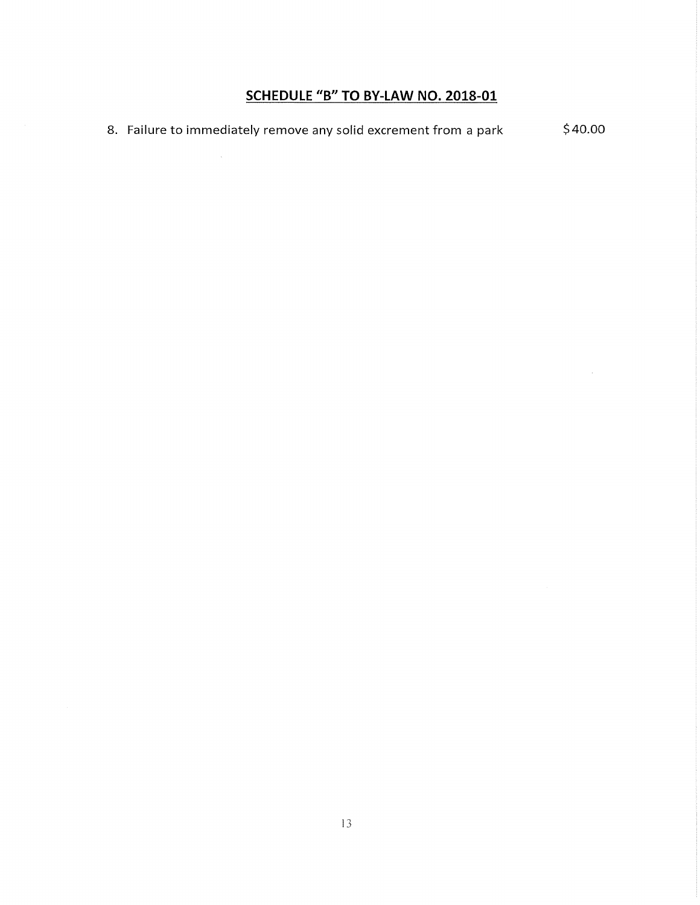## SCHEDULE "B" TO BY-LAW NO. 2018-01

 $\sim$ 

 $$40.00$ 8. Failure to immediately remove any solid excrement from a park

 $\hat{\beta}$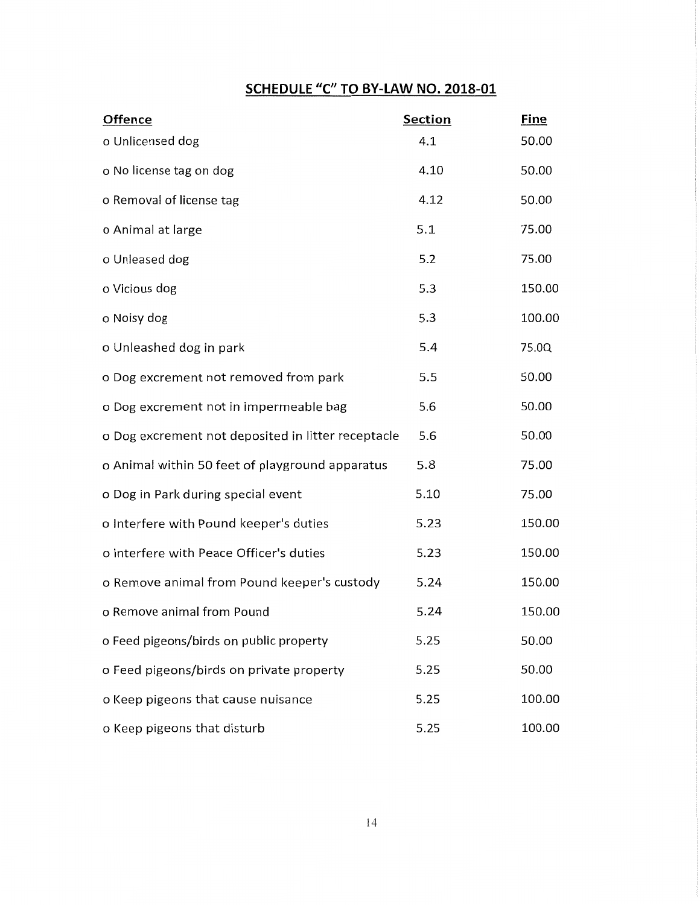## SCHEDULE "C" TO BY-LAW NO. 2018-01

| <b>Offence</b>                                     | <b>Section</b> | <b>Fine</b> |
|----------------------------------------------------|----------------|-------------|
| o Unlicensed dog                                   | 4.1            | 50.00       |
| o No license tag on dog                            | 4.10           | 50.00       |
| o Removal of license tag                           | 4.12           | 50.00       |
| o Animal at large                                  | 5.1            | 75.00       |
| o Unleased dog                                     | 5.2            | 75.00       |
| o Vicious dog                                      | 5.3            | 150.00      |
| o Noisy dog                                        | 5.3            | 100.00      |
| o Unleashed dog in park                            | 5.4            | 75.0Q       |
| o Dog excrement not removed from park              | 5.5            | 50.00       |
| o Dog excrement not in impermeable bag             | 5.6            | 50.00       |
| o Dog excrement not deposited in litter receptacle | 5.6            | 50.00       |
| o Animal within 50 feet of playground apparatus    | 5.8            | 75.00       |
| o Dog in Park during special event                 | 5.10           | 75.00       |
| o Interfere with Pound keeper's duties             | 5.23           | 150.00      |
| o Interfere with Peace Officer's duties            | 5.23           | 150.00      |
| o Remove animal from Pound keeper's custody        | 5.24           | 150.00      |
| o Remove animal from Pound                         | 5.24           | 150.00      |
| o Feed pigeons/birds on public property            | 5.25           | 50.00       |
| o Feed pigeons/birds on private property           | 5.25           | 50.00       |
| o Keep pigeons that cause nuisance                 | 5.25           | 100.00      |
| o Keep pigeons that disturb                        | 5.25           | 100.00      |